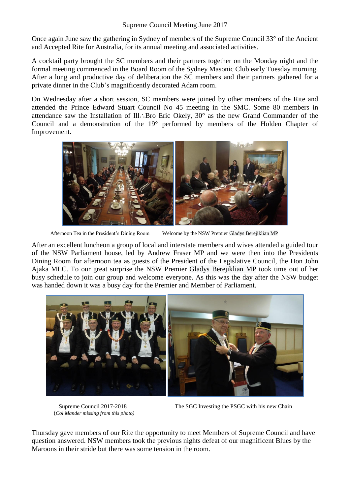## Supreme Council Meeting June 2017

Once again June saw the gathering in Sydney of members of the Supreme Council 33° of the Ancient and Accepted Rite for Australia, for its annual meeting and associated activities.

A cocktail party brought the SC members and their partners together on the Monday night and the formal meeting commenced in the Board Room of the Sydney Masonic Club early Tuesday morning. After a long and productive day of deliberation the SC members and their partners gathered for a private dinner in the Club's magnificently decorated Adam room.

On Wednesday after a short session, SC members were joined by other members of the Rite and attended the Prince Edward Stuart Council No 45 meeting in the SMC. Some 80 members in attendance saw the Installation of Ill∴Bro Eric Okely, 30° as the new Grand Commander of the Council and a demonstration of the 19° performed by members of the Holden Chapter of Improvement.



Afternoon Tea in the President's Dining Room Welcome by the NSW Premier Gladys Berejiklian MP

After an excellent luncheon a group of local and interstate members and wives attended a guided tour of the NSW Parliament house, led by Andrew Fraser MP and we were then into the Presidents Dining Room for afternoon tea as guests of the President of the Legislative Council, the Hon John Ajaka MLC. To our great surprise the NSW Premier Gladys Berejiklian MP took time out of her busy schedule to join our group and welcome everyone. As this was the day after the NSW budget was handed down it was a busy day for the Premier and Member of Parliament.



(*Col Mander missing from this photo)*

Supreme Council 2017-2018 The SGC Investing the PSGC with his new Chain

Thursday gave members of our Rite the opportunity to meet Members of Supreme Council and have question answered. NSW members took the previous nights defeat of our magnificent Blues by the Maroons in their stride but there was some tension in the room.